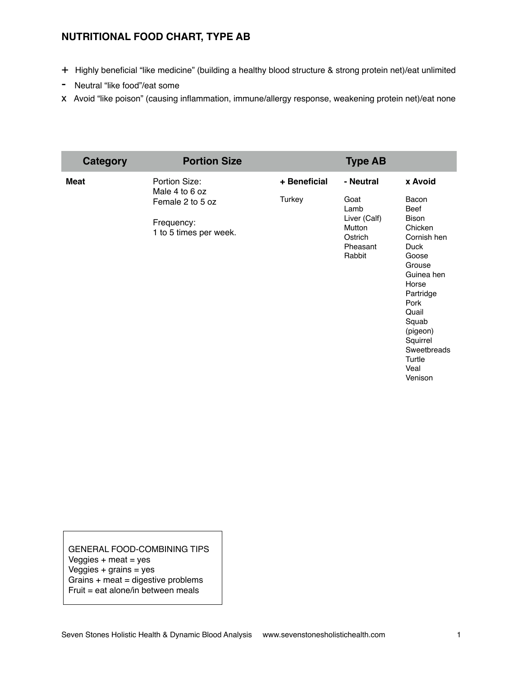## **NUTRITIONAL FOOD CHART, TYPE AB**

- + Highly beneficial "like medicine" (building a healthy blood structure & strong protein net)/eat unlimited
- Neutral "like food"/eat some
- x Avoid "like poison" (causing inflammation, immune/allergy response, weakening protein net)/eat none

| <b>Category</b> | <b>Portion Size</b>                                      |              | <b>Type AB</b>                                                                 |                                                                                                                                                                                                                             |
|-----------------|----------------------------------------------------------|--------------|--------------------------------------------------------------------------------|-----------------------------------------------------------------------------------------------------------------------------------------------------------------------------------------------------------------------------|
| <b>Meat</b>     | Portion Size:<br>Male 4 to 6 oz                          | + Beneficial | - Neutral                                                                      | x Avoid                                                                                                                                                                                                                     |
|                 | Female 2 to 5 oz<br>Frequency:<br>1 to 5 times per week. | Turkey       | Goat<br>Lamb<br>Liver (Calf)<br><b>Mutton</b><br>Ostrich<br>Pheasant<br>Rabbit | Bacon<br><b>Beef</b><br><b>Bison</b><br>Chicken<br>Cornish hen<br>Duck<br>Goose<br>Grouse<br>Guinea hen<br>Horse<br>Partridge<br>Pork<br>Quail<br>Squab<br>(pigeon)<br>Squirrel<br>Sweetbreads<br>Turtle<br>Veal<br>Venison |

GENERAL FOOD-COMBINING TIPS Veggies  $+$  meat  $=$  yes  $V$ eggies + grains = yes Grains + meat = digestive problems Fruit = eat alone/in between meals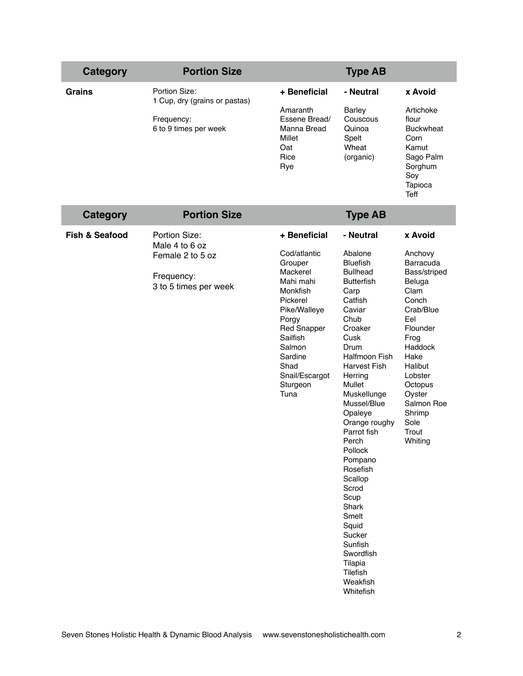| <b>Category</b>           | <b>Portion Size</b>                            |                                                                                                                                                                             | <b>Type AB</b>                                                                                                                                                                                                                                                                                                                                                                                                                        |                                                                                                                                                                                                   |
|---------------------------|------------------------------------------------|-----------------------------------------------------------------------------------------------------------------------------------------------------------------------------|---------------------------------------------------------------------------------------------------------------------------------------------------------------------------------------------------------------------------------------------------------------------------------------------------------------------------------------------------------------------------------------------------------------------------------------|---------------------------------------------------------------------------------------------------------------------------------------------------------------------------------------------------|
| <b>Grains</b>             | Portion Size:<br>1 Cup, dry (grains or pastas) | + Beneficial                                                                                                                                                                | - Neutral                                                                                                                                                                                                                                                                                                                                                                                                                             | x Avoid                                                                                                                                                                                           |
|                           | Frequency:<br>6 to 9 times per week            | Amaranth<br>Essene Bread/<br>Manna Bread<br>Millet<br>Oat<br>Rice<br>Rye                                                                                                    | <b>Barley</b><br>Couscous<br>Quinoa<br>Spelt<br>Wheat<br>(organic)                                                                                                                                                                                                                                                                                                                                                                    | Artichoke<br>flour<br><b>Buckwheat</b><br>Corn<br>Kamut<br>Sago Palm<br>Sorghum<br>Soy<br>Tapioca<br><b>Teff</b>                                                                                  |
| <b>Category</b>           | <b>Portion Size</b>                            |                                                                                                                                                                             | <b>Type AB</b>                                                                                                                                                                                                                                                                                                                                                                                                                        |                                                                                                                                                                                                   |
| <b>Fish &amp; Seafood</b> | Portion Size:<br>Male 4 to 6 oz                | + Beneficial                                                                                                                                                                | - Neutral                                                                                                                                                                                                                                                                                                                                                                                                                             | x Avoid                                                                                                                                                                                           |
|                           | Female 2 to 5 oz                               | Cod/atlantic<br>Grouper                                                                                                                                                     | Abalone<br><b>Bluefish</b>                                                                                                                                                                                                                                                                                                                                                                                                            | Anchovy<br>Barracuda                                                                                                                                                                              |
|                           | Frequency:<br>3 to 5 times per week            | Mackerel<br>Mahi mahi<br>Monkfish<br>Pickerel<br>Pike/Walleye<br>Porgy<br><b>Red Snapper</b><br>Sailfish<br>Salmon<br>Sardine<br>Shad<br>Snail/Escargot<br>Sturgeon<br>Tuna | <b>Bullhead</b><br><b>Butterfish</b><br>Carp<br>Catfish<br>Caviar<br>Chub<br>Croaker<br>Cusk<br>Drum<br><b>Halfmoon Fish</b><br><b>Harvest Fish</b><br>Herring<br>Mullet<br>Muskellunge<br>Mussel/Blue<br>Opaleye<br>Orange roughy<br>Parrot fish<br>Perch<br>Pollock<br>Pompano<br>Rosefish<br>Scallop<br>Scrod<br>Scup<br>Shark<br>Smelt<br>Squid<br>Sucker<br>Sunfish<br>Swordfish<br>Tilapia<br>Tilefish<br>Weakfish<br>Whitefish | Bass/striped<br>Beluga<br>Clam<br>Conch<br>Crab/Blue<br>Eel<br>Flounder<br>Frog<br>Haddock<br>Hake<br>Halibut<br>Lobster<br>Octopus<br>Oyster<br>Salmon Roe<br>Shrimp<br>Sole<br>Trout<br>Whiting |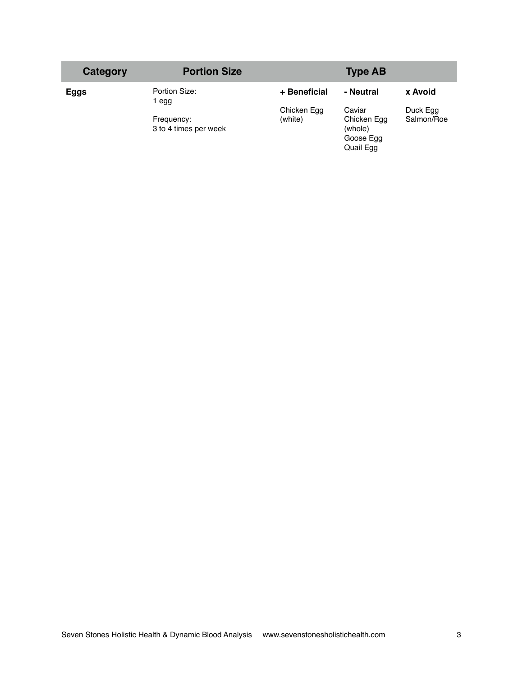| Category | <b>Portion Size</b>                 |                        | <b>Type AB</b>                                             |                        |
|----------|-------------------------------------|------------------------|------------------------------------------------------------|------------------------|
| Eggs     | Portion Size:<br>l egg              | + Beneficial           | - Neutral                                                  | x Avoid                |
|          | Frequency:<br>3 to 4 times per week | Chicken Egg<br>(white) | Caviar<br>Chicken Egg<br>(whole)<br>Goose Egg<br>Quail Egg | Duck Egg<br>Salmon/Roe |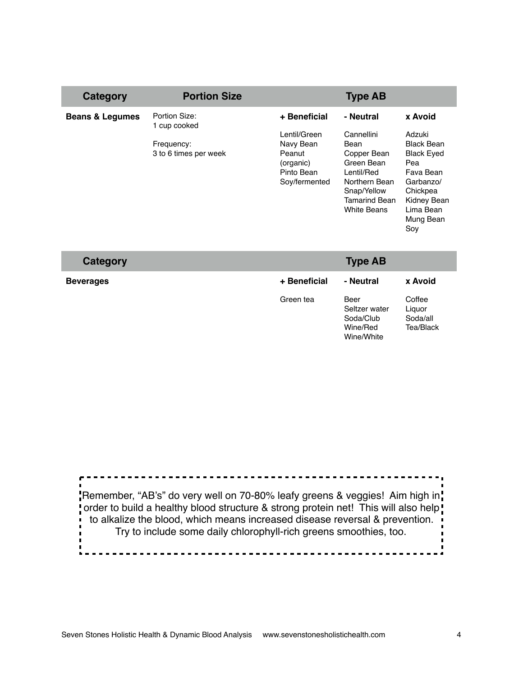| Category                   | <b>Portion Size</b>                                                  |                                                                                                 | <b>Type AB</b>                                                                                                                                           |                                                                                                                                                          |
|----------------------------|----------------------------------------------------------------------|-------------------------------------------------------------------------------------------------|----------------------------------------------------------------------------------------------------------------------------------------------------------|----------------------------------------------------------------------------------------------------------------------------------------------------------|
| <b>Beans &amp; Legumes</b> | Portion Size:<br>1 cup cooked<br>Frequency:<br>3 to 6 times per week | + Beneficial<br>Lentil/Green<br>Navy Bean<br>Peanut<br>(organic)<br>Pinto Bean<br>Soy/fermented | - Neutral<br>Cannellini<br>Bean<br>Copper Bean<br>Green Bean<br>Lentil/Red<br>Northern Bean<br>Snap/Yellow<br><b>Tamarind Bean</b><br><b>White Beans</b> | x Avoid<br>Adzuki<br><b>Black Bean</b><br><b>Black Eyed</b><br>Pea<br>Fava Bean<br>Garbanzo/<br>Chickpea<br>Kidney Bean<br>Lima Bean<br>Mung Bean<br>Soy |
|                            |                                                                      |                                                                                                 |                                                                                                                                                          |                                                                                                                                                          |

| Category         |              | <b>Type AB</b>                                               |                                           |
|------------------|--------------|--------------------------------------------------------------|-------------------------------------------|
| <b>Beverages</b> | + Beneficial | - Neutral                                                    | x Avoid                                   |
|                  | Green tea    | Beer<br>Seltzer water<br>Soda/Club<br>Wine/Red<br>Wine/White | Coffee<br>Liguor<br>Soda/all<br>Tea/Black |

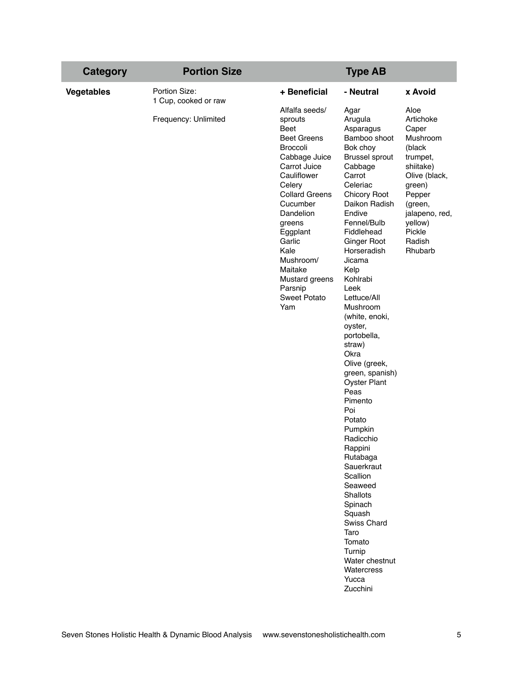| <b>Category</b>   | <b>Portion Size</b>                          |                                                                                                                                                                                                                                                                                                                   | <b>Type AB</b>                                                                                                                                                                                                                                                                                                                                                                                                                                                                                                                                                                                                                           |                                                                                                                                                                                       |
|-------------------|----------------------------------------------|-------------------------------------------------------------------------------------------------------------------------------------------------------------------------------------------------------------------------------------------------------------------------------------------------------------------|------------------------------------------------------------------------------------------------------------------------------------------------------------------------------------------------------------------------------------------------------------------------------------------------------------------------------------------------------------------------------------------------------------------------------------------------------------------------------------------------------------------------------------------------------------------------------------------------------------------------------------------|---------------------------------------------------------------------------------------------------------------------------------------------------------------------------------------|
| <b>Vegetables</b> | Portion Size:                                | + Beneficial                                                                                                                                                                                                                                                                                                      | - Neutral                                                                                                                                                                                                                                                                                                                                                                                                                                                                                                                                                                                                                                | x Avoid                                                                                                                                                                               |
|                   | 1 Cup, cooked or raw<br>Frequency: Unlimited | Alfalfa seeds/<br>sprouts<br>Beet<br><b>Beet Greens</b><br><b>Broccoli</b><br>Cabbage Juice<br>Carrot Juice<br>Cauliflower<br>Celery<br><b>Collard Greens</b><br>Cucumber<br>Dandelion<br>greens<br>Eggplant<br>Garlic<br>Kale<br>Mushroom/<br>Maitake<br>Mustard greens<br>Parsnip<br><b>Sweet Potato</b><br>Yam | Agar<br>Arugula<br>Asparagus<br>Bamboo shoot<br>Bok choy<br><b>Brussel sprout</b><br>Cabbage<br>Carrot<br>Celeriac<br>Chicory Root<br>Daikon Radish<br>Endive<br>Fennel/Bulb<br>Fiddlehead<br>Ginger Root<br>Horseradish<br>Jicama<br>Kelp<br>Kohlrabi<br>Leek<br>Lettuce/All<br>Mushroom<br>(white, enoki,<br>oyster,<br>portobella,<br>straw)<br>Okra<br>Olive (greek,<br>green, spanish)<br><b>Oyster Plant</b><br>Peas<br>Pimento<br>Poi<br>Potato<br>Pumpkin<br>Radicchio<br>Rappini<br>Rutabaga<br>Sauerkraut<br>Scallion<br>Seaweed<br>Shallots<br>Spinach<br>Squash<br>Swiss Chard<br>Taro<br>Tomato<br>Turnip<br>Water chestnut | Aloe<br>Artichoke<br>Caper<br>Mushroom<br>(black<br>trumpet,<br>shiitake)<br>Olive (black,<br>green)<br>Pepper<br>(green,<br>jalapeno, red,<br>yellow)<br>Pickle<br>Radish<br>Rhubarb |
|                   |                                              |                                                                                                                                                                                                                                                                                                                   | Watercress<br>Yucca<br>Zucchini                                                                                                                                                                                                                                                                                                                                                                                                                                                                                                                                                                                                          |                                                                                                                                                                                       |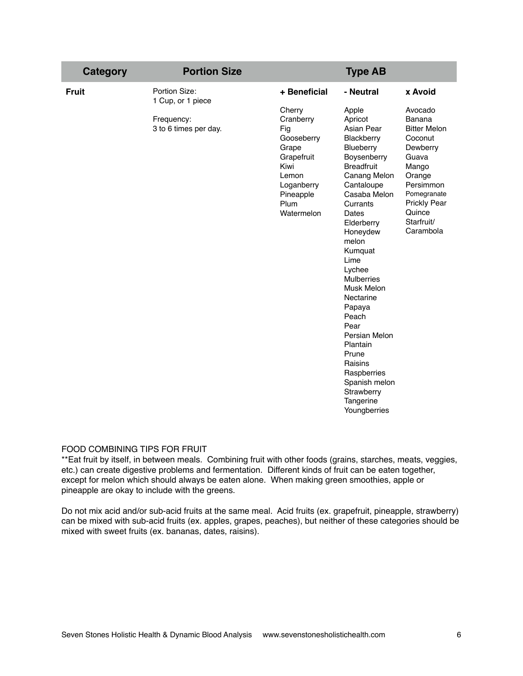| <b>Category</b> | <b>Portion Size</b>                 |                                                                                                                                   | <b>Type AB</b>                                                                                                                                                                                                                                                                                                                                                                                                                          |                                                                                                                                                                                     |
|-----------------|-------------------------------------|-----------------------------------------------------------------------------------------------------------------------------------|-----------------------------------------------------------------------------------------------------------------------------------------------------------------------------------------------------------------------------------------------------------------------------------------------------------------------------------------------------------------------------------------------------------------------------------------|-------------------------------------------------------------------------------------------------------------------------------------------------------------------------------------|
| <b>Fruit</b>    | Portion Size:<br>1 Cup, or 1 piece  | + Beneficial                                                                                                                      | - Neutral                                                                                                                                                                                                                                                                                                                                                                                                                               | x Avoid                                                                                                                                                                             |
|                 | Frequency:<br>3 to 6 times per day. | Cherry<br>Cranberry<br>Fig<br>Gooseberry<br>Grape<br>Grapefruit<br>Kiwi<br>Lemon<br>Loganberry<br>Pineapple<br>Plum<br>Watermelon | Apple<br>Apricot<br>Asian Pear<br>Blackberry<br>Blueberry<br>Boysenberry<br><b>Breadfruit</b><br>Canang Melon<br>Cantaloupe<br>Casaba Melon<br>Currants<br>Dates<br>Elderberry<br>Honeydew<br>melon<br>Kumquat<br>Lime<br>Lychee<br><b>Mulberries</b><br>Musk Melon<br>Nectarine<br>Papaya<br>Peach<br>Pear<br>Persian Melon<br>Plantain<br>Prune<br>Raisins<br>Raspberries<br>Spanish melon<br>Strawberry<br>Tangerine<br>Youngberries | Avocado<br>Banana<br><b>Bitter Melon</b><br>Coconut<br>Dewberry<br>Guava<br>Mango<br>Orange<br>Persimmon<br>Pomegranate<br><b>Prickly Pear</b><br>Quince<br>Starfruit/<br>Carambola |

## FOOD COMBINING TIPS FOR FRUIT

\*\*Eat fruit by itself, in between meals. Combining fruit with other foods (grains, starches, meats, veggies, etc.) can create digestive problems and fermentation. Different kinds of fruit can be eaten together, except for melon which should always be eaten alone. When making green smoothies, apple or pineapple are okay to include with the greens.

Do not mix acid and/or sub-acid fruits at the same meal. Acid fruits (ex. grapefruit, pineapple, strawberry) can be mixed with sub-acid fruits (ex. apples, grapes, peaches), but neither of these categories should be mixed with sweet fruits (ex. bananas, dates, raisins).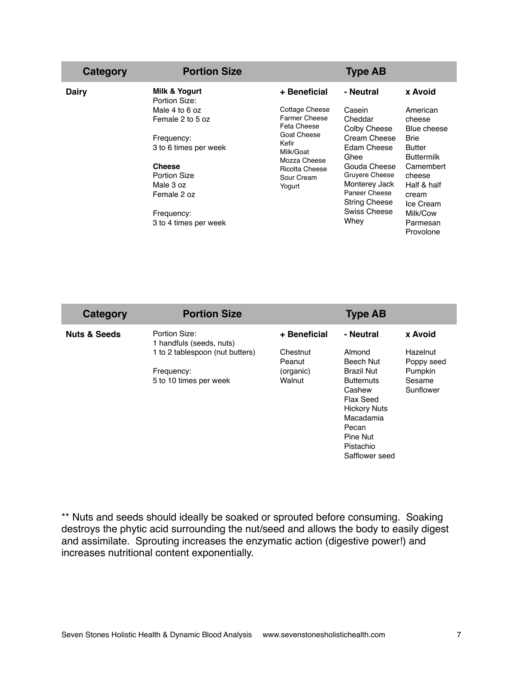| Category | <b>Portion Size</b>                                                                                                                                                                                                    |                                                                                                                                                                             | <b>Type AB</b>                                                                                                                                                                                            |                                                                                                                                                                                             |
|----------|------------------------------------------------------------------------------------------------------------------------------------------------------------------------------------------------------------------------|-----------------------------------------------------------------------------------------------------------------------------------------------------------------------------|-----------------------------------------------------------------------------------------------------------------------------------------------------------------------------------------------------------|---------------------------------------------------------------------------------------------------------------------------------------------------------------------------------------------|
| Dairy    | Milk & Yogurt<br>Portion Size:<br>Male 4 to 6 oz<br>Female 2 to 5 oz<br>Frequency:<br>3 to 6 times per week<br><b>Cheese</b><br><b>Portion Size</b><br>Male 3 oz<br>Female 2 oz<br>Frequency:<br>3 to 4 times per week | + Beneficial<br>Cottage Cheese<br><b>Farmer Cheese</b><br>Feta Cheese<br>Goat Cheese<br>Kefir<br>Milk/Goat<br>Mozza Cheese<br><b>Ricotta Cheese</b><br>Sour Cream<br>Yogurt | - Neutral<br>Casein<br>Cheddar<br>Colby Cheese<br>Cream Cheese<br>Edam Cheese<br>Ghee<br>Gouda Cheese<br>Gruyere Cheese<br>Monterey Jack<br>Paneer Cheese<br><b>String Cheese</b><br>Swiss Cheese<br>Whey | x Avoid<br>American<br>cheese<br>Blue cheese<br><b>Brie</b><br>Butter<br><b>Buttermilk</b><br>Camembert<br>cheese<br>Half & half<br>cream<br>Ice Cream<br>Milk/Cow<br>Parmesan<br>Provolone |

| Category                | <b>Portion Size</b>                                                                                                  |                                                           | <b>Type AB</b>                                                                                                                                                          |                                                                     |
|-------------------------|----------------------------------------------------------------------------------------------------------------------|-----------------------------------------------------------|-------------------------------------------------------------------------------------------------------------------------------------------------------------------------|---------------------------------------------------------------------|
| <b>Nuts &amp; Seeds</b> | Portion Size:<br>1 handfuls (seeds, nuts)<br>1 to 2 tablespoon (nut butters)<br>Frequency:<br>5 to 10 times per week | + Beneficial<br>Chestnut<br>Peanut<br>(organic)<br>Walnut | - Neutral<br>Almond<br>Beech Nut<br><b>Brazil Nut</b><br><b>Butternuts</b><br>Cashew<br>Flax Seed<br><b>Hickory Nuts</b><br>Macadamia<br>Pecan<br>Pine Nut<br>Pistachio | x Avoid<br>Hazelnut<br>Poppy seed<br>Pumpkin<br>Sesame<br>Sunflower |
|                         |                                                                                                                      |                                                           | Safflower seed                                                                                                                                                          |                                                                     |

\*\* Nuts and seeds should ideally be soaked or sprouted before consuming. Soaking destroys the phytic acid surrounding the nut/seed and allows the body to easily digest and assimilate. Sprouting increases the enzymatic action (digestive power!) and increases nutritional content exponentially.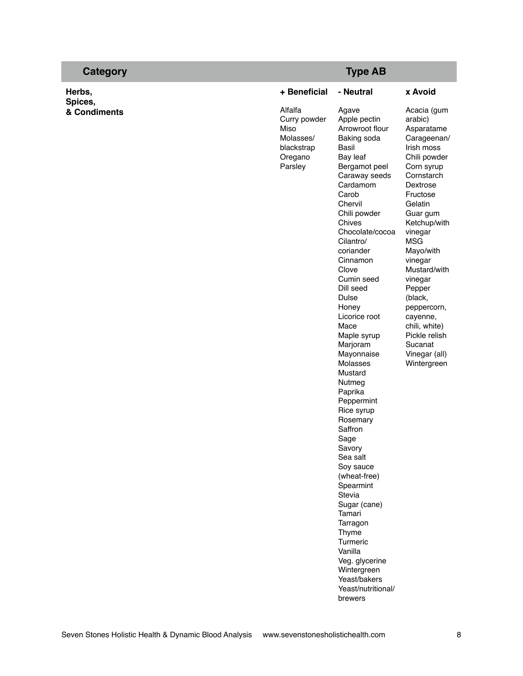| Category                |                                                                                  | <b>Type AB</b>                                                                                                                                                                                                                                                                                                                                                                                                                                                                                                                                                                                                                                                                                     |                                                                                                                                                                                                                                                                                                                                                                                       |
|-------------------------|----------------------------------------------------------------------------------|----------------------------------------------------------------------------------------------------------------------------------------------------------------------------------------------------------------------------------------------------------------------------------------------------------------------------------------------------------------------------------------------------------------------------------------------------------------------------------------------------------------------------------------------------------------------------------------------------------------------------------------------------------------------------------------------------|---------------------------------------------------------------------------------------------------------------------------------------------------------------------------------------------------------------------------------------------------------------------------------------------------------------------------------------------------------------------------------------|
| Herbs,                  | + Beneficial                                                                     | - Neutral                                                                                                                                                                                                                                                                                                                                                                                                                                                                                                                                                                                                                                                                                          | x Avoid                                                                                                                                                                                                                                                                                                                                                                               |
| Spices,<br>& Condiments | Alfalfa<br>Curry powder<br>Miso<br>Molasses/<br>blackstrap<br>Oregano<br>Parsley | Agave<br>Apple pectin<br>Arrowroot flour<br>Baking soda<br>Basil<br>Bay leaf<br>Bergamot peel<br>Caraway seeds<br>Cardamom<br>Carob<br>Chervil<br>Chili powder<br>Chives<br>Chocolate/cocoa<br>Cilantro/<br>coriander<br>Cinnamon<br>Clove<br>Cumin seed<br>Dill seed<br>Dulse<br>Honey<br>Licorice root<br>Mace<br>Maple syrup<br>Marjoram<br>Mayonnaise<br>Molasses<br>Mustard<br>Nutmeg<br>Paprika<br>Peppermint<br>Rice syrup<br>Rosemary<br>Saffron<br>Sage<br>Savory<br>Sea salt<br>Soy sauce<br>(wheat-free)<br>Spearmint<br>Stevia<br>Sugar (cane)<br>Tamari<br>Tarragon<br>Thyme<br>Turmeric<br>Vanilla<br>Veg. glycerine<br>Wintergreen<br>Yeast/bakers<br>Yeast/nutritional/<br>brewers | Acacia (gum<br>arabic)<br>Asparatame<br>Carageenan/<br>Irish moss<br>Chili powder<br>Corn syrup<br>Cornstarch<br>Dextrose<br>Fructose<br>Gelatin<br>Guar gum<br>Ketchup/with<br>vinegar<br><b>MSG</b><br>Mayo/with<br>vinegar<br>Mustard/with<br>vinegar<br>Pepper<br>(black,<br>peppercorn,<br>cayenne,<br>chili, white)<br>Pickle relish<br>Sucanat<br>Vinegar (all)<br>Wintergreen |